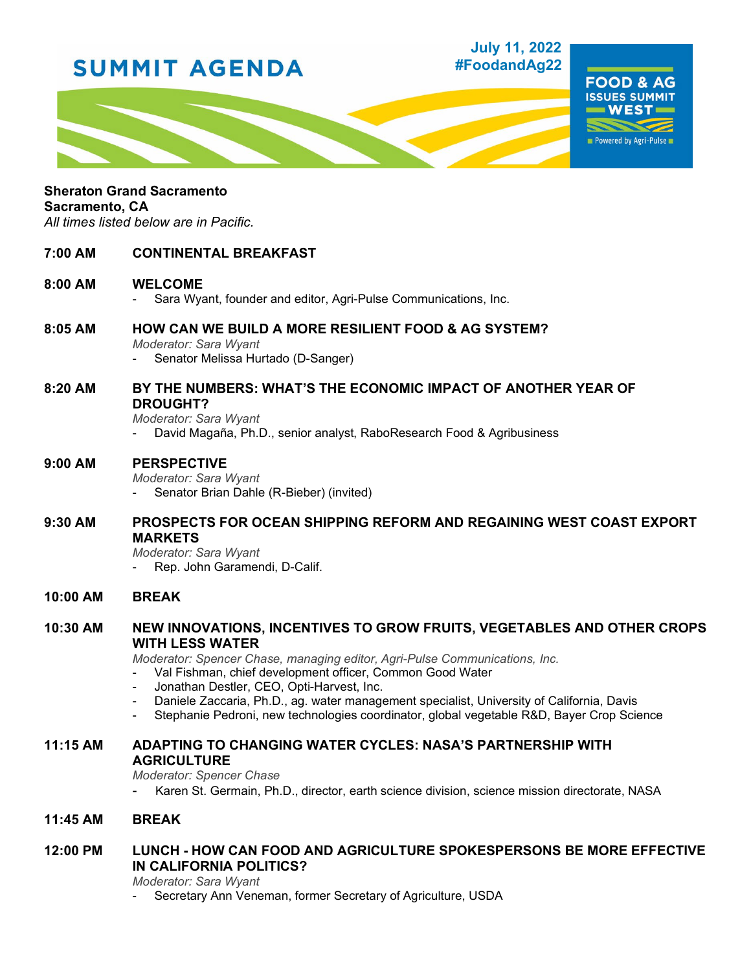# **SUMMIT AGENDA**

# **July 11, 2022 #FoodandAg22**



# **Sheraton Grand Sacramento**

#### **Sacramento, CA**

*All times listed below are in Pacific.*

# **7:00 AM CONTINENTAL BREAKFAST**

#### **8:00 AM WELCOME**

- Sara Wyant, founder and editor, Agri-Pulse Communications, Inc.

## **8:05 AM HOW CAN WE BUILD A MORE RESILIENT FOOD & AG SYSTEM?**

- *Moderator: Sara Wyant*
- Senator Melissa Hurtado (D-Sanger)

## **8:20 AM BY THE NUMBERS: WHAT'S THE ECONOMIC IMPACT OF ANOTHER YEAR OF DROUGHT?**

*Moderator: Sara Wyant*

David Magaña, Ph.D., senior analyst, RaboResearch Food & Agribusiness

## **9:00 AM PERSPECTIVE**

*Moderator: Sara Wyant*

Senator Brian Dahle (R-Bieber) (invited)

# **9:30 AM PROSPECTS FOR OCEAN SHIPPING REFORM AND REGAINING WEST COAST EXPORT MARKETS**

*Moderator: Sara Wyant* Rep. John Garamendi, D-Calif.

**10:00 AM BREAK**

# **10:30 AM NEW INNOVATIONS, INCENTIVES TO GROW FRUITS, VEGETABLES AND OTHER CROPS WITH LESS WATER**

*Moderator: Spencer Chase, managing editor, Agri-Pulse Communications, Inc.*

- Val Fishman, chief development officer, Common Good Water
- Jonathan Destler, CEO, Opti-Harvest, Inc.
- Daniele Zaccaria, Ph.D., ag. water management specialist, University of California, Davis
- Stephanie Pedroni, new technologies coordinator, global vegetable R&D, Bayer Crop Science

## **11:15 AM ADAPTING TO CHANGING WATER CYCLES: NASA'S PARTNERSHIP WITH AGRICULTURE**

*Moderator: Spencer Chase*

- Karen St. Germain, Ph.D., director, earth science division, science mission directorate, NASA

# **11:45 AM BREAK**

# **12:00 PM LUNCH - HOW CAN FOOD AND AGRICULTURE SPOKESPERSONS BE MORE EFFECTIVE IN CALIFORNIA POLITICS?**

*Moderator: Sara Wyant*

Secretary Ann Veneman, former Secretary of Agriculture, USDA